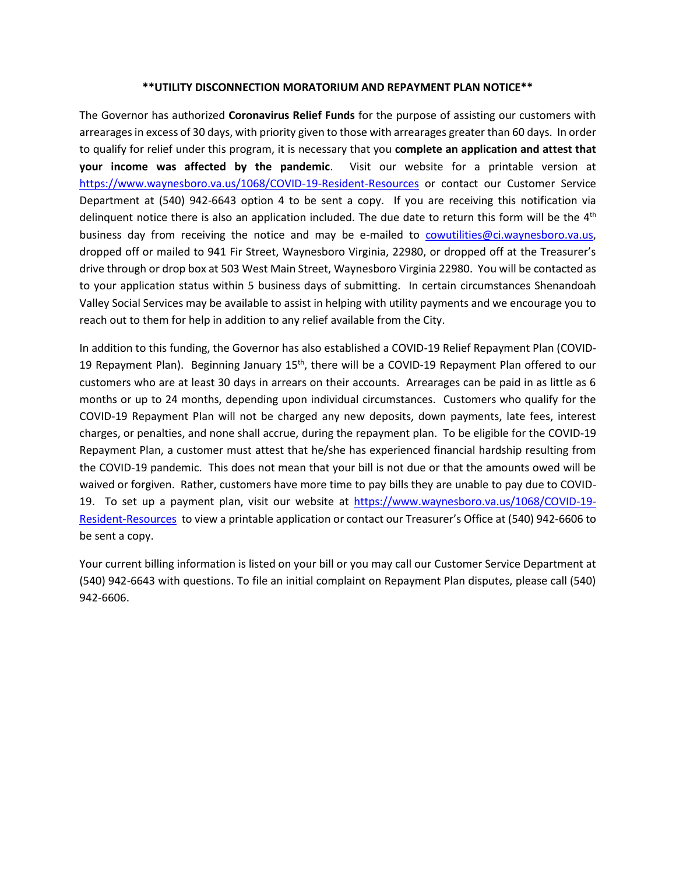#### **\*\*UTILITY DISCONNECTION MORATORIUM AND REPAYMENT PLAN NOTICE\*\***

The Governor has authorized **Coronavirus Relief Funds** for the purpose of assisting our customers with arrearages in excess of 30 days, with priority given to those with arrearages greater than 60 days. In order to qualify for relief under this program, it is necessary that you **complete an application and attest that your income was affected by the pandemic**. Visit our website for a printable version at <https://www.waynesboro.va.us/1068/COVID-19-Resident-Resources> or contact our Customer Service Department at (540) 942-6643 option 4 to be sent a copy. If you are receiving this notification via delinquent notice there is also an application included. The due date to return this form will be the  $4<sup>th</sup>$ business day from receiving the notice and may be e-mailed to [cowutilities@ci.waynesboro.va.us,](mailto:cowutilities@ci.waynesboro.va.us) dropped off or mailed to 941 Fir Street, Waynesboro Virginia, 22980, or dropped off at the Treasurer's drive through or drop box at 503 West Main Street, Waynesboro Virginia 22980. You will be contacted as to your application status within 5 business days of submitting. In certain circumstances Shenandoah Valley Social Services may be available to assist in helping with utility payments and we encourage you to reach out to them for help in addition to any relief available from the City.

In addition to this funding, the Governor has also established a COVID-19 Relief Repayment Plan (COVID-19 Repayment Plan). Beginning January  $15<sup>th</sup>$ , there will be a COVID-19 Repayment Plan offered to our customers who are at least 30 days in arrears on their accounts. Arrearages can be paid in as little as 6 months or up to 24 months, depending upon individual circumstances. Customers who qualify for the COVID-19 Repayment Plan will not be charged any new deposits, down payments, late fees, interest charges, or penalties, and none shall accrue, during the repayment plan. To be eligible for the COVID-19 Repayment Plan, a customer must attest that he/she has experienced financial hardship resulting from the COVID-19 pandemic. This does not mean that your bill is not due or that the amounts owed will be waived or forgiven. Rather, customers have more time to pay bills they are unable to pay due to COVID-19. To set up a payment plan, visit our website at [https://www.waynesboro.va.us/1068/COVID-19-](https://www.waynesboro.va.us/1068/COVID-19-Resident-Resources) [Resident-Resources](https://www.waynesboro.va.us/1068/COVID-19-Resident-Resources) to view a printable application or contact our Treasurer's Office at (540) 942-6606 to be sent a copy.

Your current billing information is listed on your bill or you may call our Customer Service Department at (540) 942-6643 with questions. To file an initial complaint on Repayment Plan disputes, please call (540) 942-6606.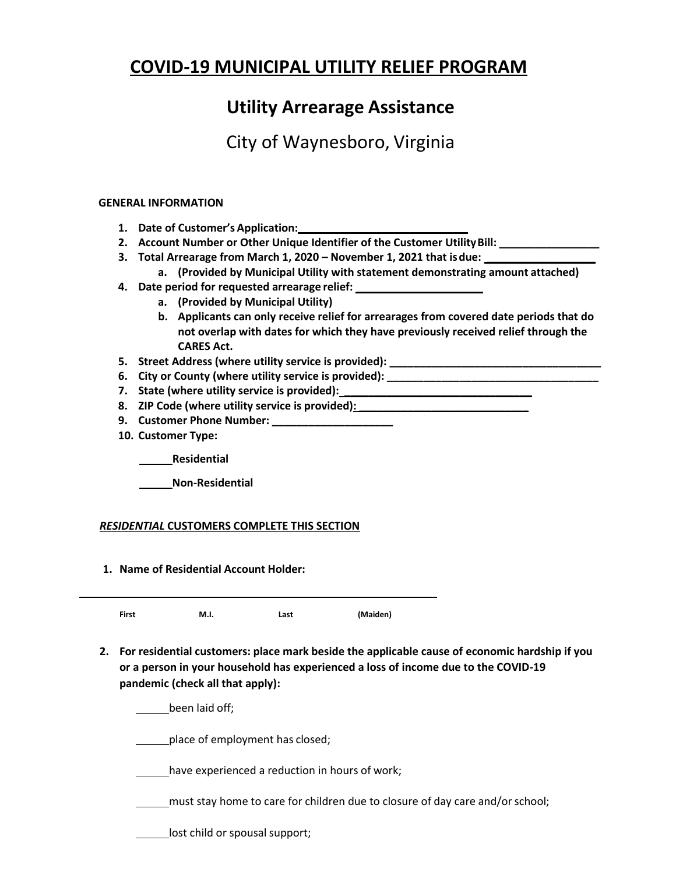# **COVID-19 MUNICIPAL UTILITY RELIEF PROGRAM**

### **Utility Arrearage Assistance**

## City of Waynesboro, Virginia

### **GENERAL INFORMATION**

- **1. Date of Customer's Application:**
- **2. Account Number or Other Unique Identifier of the Customer UtilityBill: \_\_\_\_\_\_\_\_\_\_\_\_\_\_\_\_\_**
- **3. Total Arrearage from March 1, 2020 – November 1, 2021 that isdue: \_\_\_\_\_\_\_\_\_\_\_\_\_\_\_\_\_\_**
- **a. (Provided by Municipal Utility with statement demonstrating amount attached)**
- **4. Date period for requested arrearage relief:**
	- **a. (Provided by Municipal Utility)**
	- **b. Applicants can only receive relief for arrearages from covered date periods that do not overlap with dates for which they have previously received relief through the CARES Act.**
- **5. Street Address (where utility service is provided): \_\_\_\_\_\_\_\_\_\_\_\_\_\_\_\_\_\_\_\_\_\_\_\_\_\_\_\_\_\_\_\_\_\_\_**
- **6. City or County (where utility service is provided): \_\_\_\_\_\_\_\_\_\_\_\_\_\_\_\_\_\_\_\_\_\_\_\_\_\_\_\_\_\_\_\_\_\_\_**
- **7. State (where utility service is provided): \_\_\_\_\_\_\_\_\_\_\_\_\_\_\_\_\_\_\_\_\_\_\_\_\_\_\_\_\_\_\_**
- **8. ZIP Code (where utility service is provided): \_\_\_\_\_\_\_\_\_\_\_\_\_\_\_\_\_\_\_\_\_\_\_\_\_\_\_\_**
- **9. Customer Phone Number: \_\_\_\_\_\_\_\_\_\_\_\_\_\_\_\_\_\_\_\_**
- **10. Customer Type:**

**Residential**

**Non-Residential**

### *RESIDENTIAL* **CUSTOMERS COMPLETE THIS SECTION**

**1. Name of Residential Account Holder:**

**First M.I. Last (Maiden)**

**2. For residential customers: place mark beside the applicable cause of economic hardship if you or a person in your household has experienced a loss of income due to the COVID-19 pandemic (check all that apply):**

been laid off;

place of employment has closed;

have experienced a reduction in hours of work;

must stay home to care for children due to closure of day care and/or school;

**Lackson** lost child or spousal support;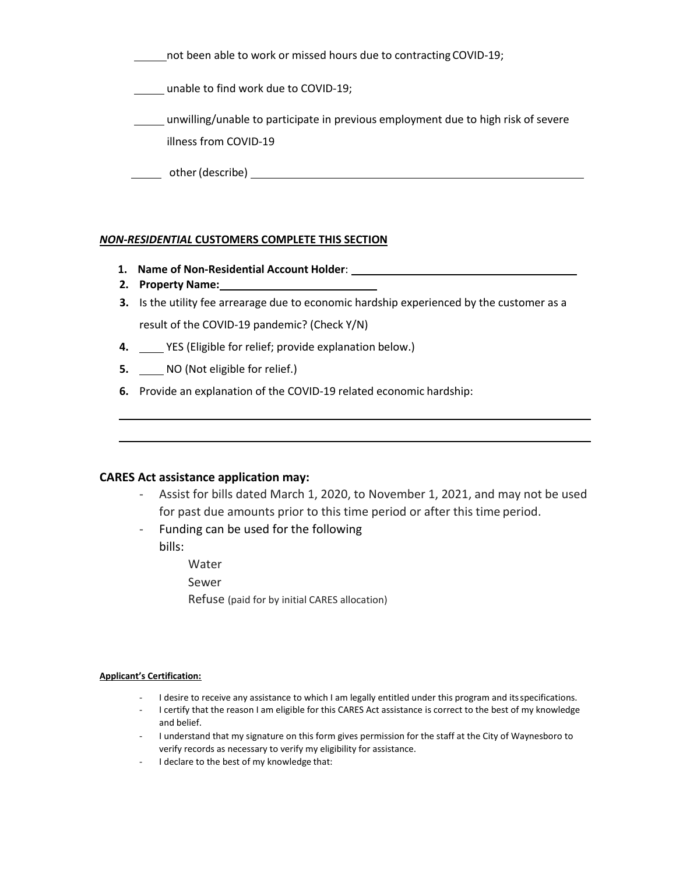not been able to work or missed hours due to contracting COVID-19; **LETT** unable to find work due to COVID-19; unwilling/unable to participate in previous employment due to high risk of severe illness from COVID-19 other(describe)

#### *NON-RESIDENTIAL* **CUSTOMERS COMPLETE THIS SECTION**

- **1. Name of Non-Residential Account Holder**:
- **2. Property Name:**
- **3.** Is the utility fee arrearage due to economic hardship experienced by the customer as a result of the COVID-19 pandemic? (Check Y/N)
- **4.** YES (Eligible for relief; provide explanation below.)
- **5.** NO (Not eligible for relief.)
- **6.** Provide an explanation of the COVID-19 related economic hardship:

#### **CARES Act assistance application may:**

- Assist for bills dated March 1, 2020, to November 1, 2021, and may not be used for past due amounts prior to this time period or after this time period.
- Funding can be used for the following bills:
	- Water
	- Sewer
	- Refuse (paid for by initial CARES allocation)

#### **Applicant's Certification:**

- I desire to receive any assistance to which I am legally entitled under this program and its specifications.
- I certify that the reason I am eligible for this CARES Act assistance is correct to the best of my knowledge and belief.
- I understand that my signature on this form gives permission for the staff at the City of Waynesboro to verify records as necessary to verify my eligibility for assistance.
- I declare to the best of my knowledge that: